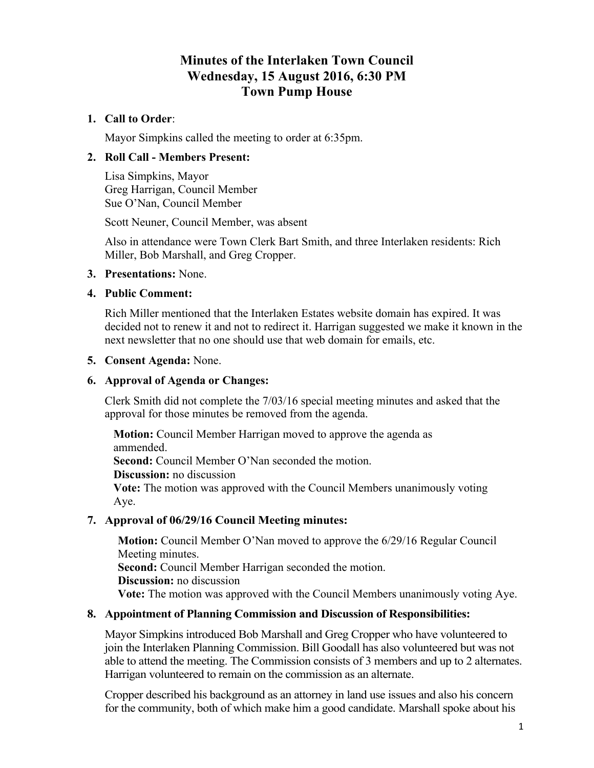# **Minutes of the Interlaken Town Council Wednesday, 15 August 2016, 6:30 PM Town Pump House**

# **1. Call to Order**:

Mayor Simpkins called the meeting to order at 6:35pm.

## **2. Roll Call - Members Present:**

Lisa Simpkins, Mayor Greg Harrigan, Council Member Sue O'Nan, Council Member

Scott Neuner, Council Member, was absent

Also in attendance were Town Clerk Bart Smith, and three Interlaken residents: Rich Miller, Bob Marshall, and Greg Cropper.

### **3. Presentations:** None.

### **4. Public Comment:**

Rich Miller mentioned that the Interlaken Estates website domain has expired. It was decided not to renew it and not to redirect it. Harrigan suggested we make it known in the next newsletter that no one should use that web domain for emails, etc.

### **5. Consent Agenda:** None.

## **6. Approval of Agenda or Changes:**

Clerk Smith did not complete the 7/03/16 special meeting minutes and asked that the approval for those minutes be removed from the agenda.

**Motion:** Council Member Harrigan moved to approve the agenda as ammended. **Second:** Council Member O'Nan seconded the motion. **Discussion:** no discussion **Vote:** The motion was approved with the Council Members unanimously voting Aye.

### **7. Approval of 06/29/16 Council Meeting minutes:**

**Motion:** Council Member O'Nan moved to approve the 6/29/16 Regular Council Meeting minutes. **Second:** Council Member Harrigan seconded the motion. **Discussion:** no discussion **Vote:** The motion was approved with the Council Members unanimously voting Aye.

### **8. Appointment of Planning Commission and Discussion of Responsibilities:**

Mayor Simpkins introduced Bob Marshall and Greg Cropper who have volunteered to join the Interlaken Planning Commission. Bill Goodall has also volunteered but was not able to attend the meeting. The Commission consists of 3 members and up to 2 alternates. Harrigan volunteered to remain on the commission as an alternate.

Cropper described his background as an attorney in land use issues and also his concern for the community, both of which make him a good candidate. Marshall spoke about his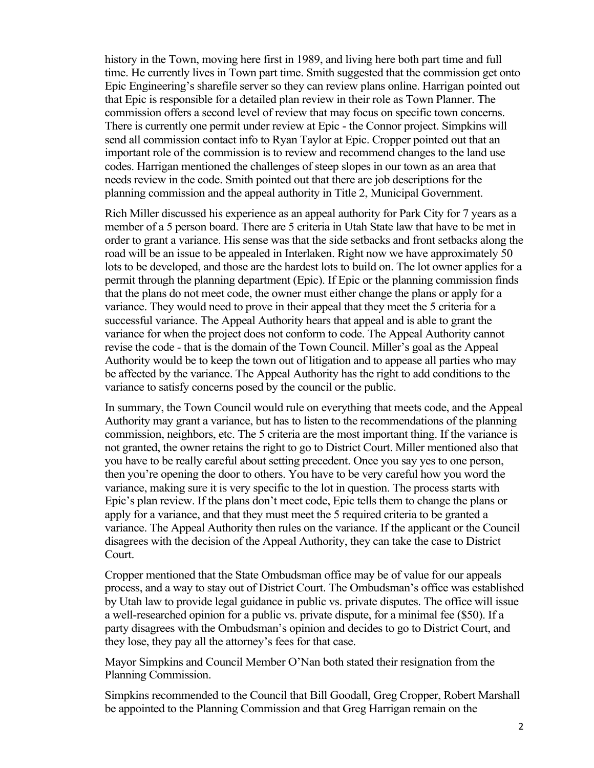history in the Town, moving here first in 1989, and living here both part time and full time. He currently lives in Town part time. Smith suggested that the commission get onto Epic Engineering's sharefile server so they can review plans online. Harrigan pointed out that Epic is responsible for a detailed plan review in their role as Town Planner. The commission offers a second level of review that may focus on specific town concerns. There is currently one permit under review at Epic - the Connor project. Simpkins will send all commission contact info to Ryan Taylor at Epic. Cropper pointed out that an important role of the commission is to review and recommend changes to the land use codes. Harrigan mentioned the challenges of steep slopes in our town as an area that needs review in the code. Smith pointed out that there are job descriptions for the planning commission and the appeal authority in Title 2, Municipal Government.

Rich Miller discussed his experience as an appeal authority for Park City for 7 years as a member of a 5 person board. There are 5 criteria in Utah State law that have to be met in order to grant a variance. His sense was that the side setbacks and front setbacks along the road will be an issue to be appealed in Interlaken. Right now we have approximately 50 lots to be developed, and those are the hardest lots to build on. The lot owner applies for a permit through the planning department (Epic). If Epic or the planning commission finds that the plans do not meet code, the owner must either change the plans or apply for a variance. They would need to prove in their appeal that they meet the 5 criteria for a successful variance. The Appeal Authority hears that appeal and is able to grant the variance for when the project does not conform to code. The Appeal Authority cannot revise the code - that is the domain of the Town Council. Miller's goal as the Appeal Authority would be to keep the town out of litigation and to appease all parties who may be affected by the variance. The Appeal Authority has the right to add conditions to the variance to satisfy concerns posed by the council or the public.

In summary, the Town Council would rule on everything that meets code, and the Appeal Authority may grant a variance, but has to listen to the recommendations of the planning commission, neighbors, etc. The 5 criteria are the most important thing. If the variance is not granted, the owner retains the right to go to District Court. Miller mentioned also that you have to be really careful about setting precedent. Once you say yes to one person, then you're opening the door to others. You have to be very careful how you word the variance, making sure it is very specific to the lot in question. The process starts with Epic's plan review. If the plans don't meet code, Epic tells them to change the plans or apply for a variance, and that they must meet the 5 required criteria to be granted a variance. The Appeal Authority then rules on the variance. If the applicant or the Council disagrees with the decision of the Appeal Authority, they can take the case to District Court.

Cropper mentioned that the State Ombudsman office may be of value for our appeals process, and a way to stay out of District Court. The Ombudsman's office was established by Utah law to provide legal guidance in public vs. private disputes. The office will issue a well-researched opinion for a public vs. private dispute, for a minimal fee (\$50). If a party disagrees with the Ombudsman's opinion and decides to go to District Court, and they lose, they pay all the attorney's fees for that case.

Mayor Simpkins and Council Member O'Nan both stated their resignation from the Planning Commission.

Simpkins recommended to the Council that Bill Goodall, Greg Cropper, Robert Marshall be appointed to the Planning Commission and that Greg Harrigan remain on the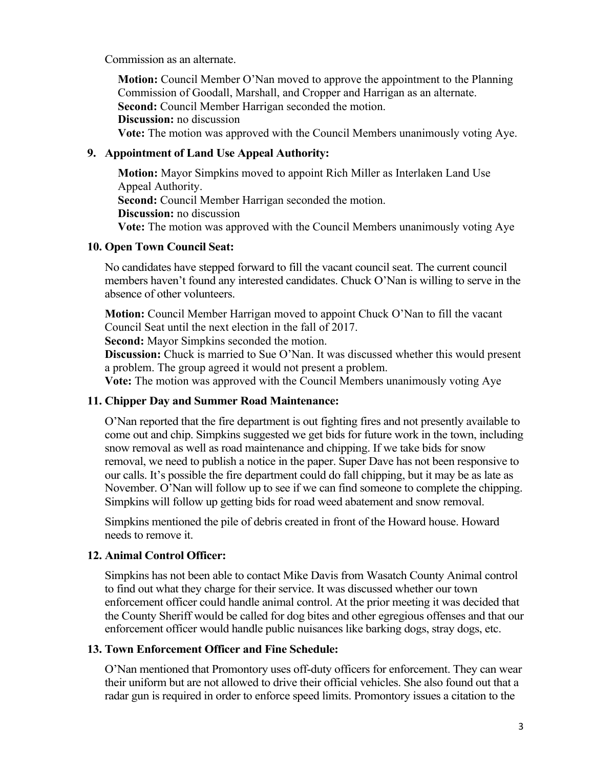Commission as an alternate.

**Motion:** Council Member O'Nan moved to approve the appointment to the Planning Commission of Goodall, Marshall, and Cropper and Harrigan as an alternate. **Second:** Council Member Harrigan seconded the motion.

**Discussion:** no discussion

**Vote:** The motion was approved with the Council Members unanimously voting Aye.

## **9. Appointment of Land Use Appeal Authority:**

**Motion:** Mayor Simpkins moved to appoint Rich Miller as Interlaken Land Use Appeal Authority. **Second:** Council Member Harrigan seconded the motion. **Discussion:** no discussion **Vote:** The motion was approved with the Council Members unanimously voting Aye

## **10. Open Town Council Seat:**

No candidates have stepped forward to fill the vacant council seat. The current council members haven't found any interested candidates. Chuck O'Nan is willing to serve in the absence of other volunteers.

**Motion:** Council Member Harrigan moved to appoint Chuck O'Nan to fill the vacant Council Seat until the next election in the fall of 2017.

**Second:** Mayor Simpkins seconded the motion.

**Discussion:** Chuck is married to Sue O'Nan. It was discussed whether this would present a problem. The group agreed it would not present a problem.

**Vote:** The motion was approved with the Council Members unanimously voting Aye

# **11. Chipper Day and Summer Road Maintenance:**

O'Nan reported that the fire department is out fighting fires and not presently available to come out and chip. Simpkins suggested we get bids for future work in the town, including snow removal as well as road maintenance and chipping. If we take bids for snow removal, we need to publish a notice in the paper. Super Dave has not been responsive to our calls. It's possible the fire department could do fall chipping, but it may be as late as November. O'Nan will follow up to see if we can find someone to complete the chipping. Simpkins will follow up getting bids for road weed abatement and snow removal.

Simpkins mentioned the pile of debris created in front of the Howard house. Howard needs to remove it.

# **12. Animal Control Officer:**

Simpkins has not been able to contact Mike Davis from Wasatch County Animal control to find out what they charge for their service. It was discussed whether our town enforcement officer could handle animal control. At the prior meeting it was decided that the County Sheriff would be called for dog bites and other egregious offenses and that our enforcement officer would handle public nuisances like barking dogs, stray dogs, etc.

### **13. Town Enforcement Officer and Fine Schedule:**

O'Nan mentioned that Promontory uses off-duty officers for enforcement. They can wear their uniform but are not allowed to drive their official vehicles. She also found out that a radar gun is required in order to enforce speed limits. Promontory issues a citation to the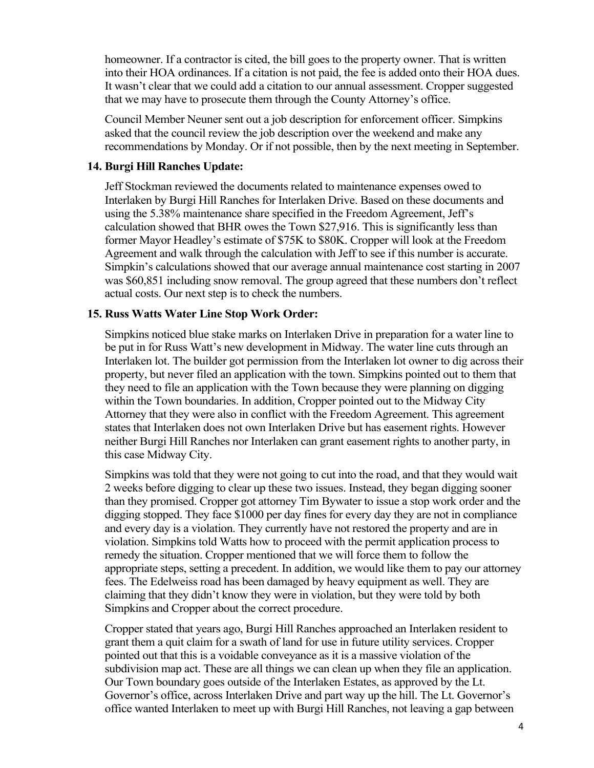homeowner. If a contractor is cited, the bill goes to the property owner. That is written into their HOA ordinances. If a citation is not paid, the fee is added onto their HOA dues. It wasn't clear that we could add a citation to our annual assessment. Cropper suggested that we may have to prosecute them through the County Attorney's office.

Council Member Neuner sent out a job description for enforcement officer. Simpkins asked that the council review the job description over the weekend and make any recommendations by Monday. Or if not possible, then by the next meeting in September.

#### **14. Burgi Hill Ranches Update:**

Jeff Stockman reviewed the documents related to maintenance expenses owed to Interlaken by Burgi Hill Ranches for Interlaken Drive. Based on these documents and using the 5.38% maintenance share specified in the Freedom Agreement, Jeff's calculation showed that BHR owes the Town \$27,916. This is significantly less than former Mayor Headley's estimate of \$75K to \$80K. Cropper will look at the Freedom Agreement and walk through the calculation with Jeff to see if this number is accurate. Simpkin's calculations showed that our average annual maintenance cost starting in 2007 was \$60,851 including snow removal. The group agreed that these numbers don't reflect actual costs. Our next step is to check the numbers.

#### **15. Russ Watts Water Line Stop Work Order:**

Simpkins noticed blue stake marks on Interlaken Drive in preparation for a water line to be put in for Russ Watt's new development in Midway. The water line cuts through an Interlaken lot. The builder got permission from the Interlaken lot owner to dig across their property, but never filed an application with the town. Simpkins pointed out to them that they need to file an application with the Town because they were planning on digging within the Town boundaries. In addition, Cropper pointed out to the Midway City Attorney that they were also in conflict with the Freedom Agreement. This agreement states that Interlaken does not own Interlaken Drive but has easement rights. However neither Burgi Hill Ranches nor Interlaken can grant easement rights to another party, in this case Midway City.

Simpkins was told that they were not going to cut into the road, and that they would wait 2 weeks before digging to clear up these two issues. Instead, they began digging sooner than they promised. Cropper got attorney Tim Bywater to issue a stop work order and the digging stopped. They face \$1000 per day fines for every day they are not in compliance and every day is a violation. They currently have not restored the property and are in violation. Simpkins told Watts how to proceed with the permit application processto remedy the situation. Cropper mentioned that we will force them to follow the appropriate steps, setting a precedent. In addition, we would like them to pay our attorney fees. The Edelweiss road has been damaged by heavy equipment as well. They are claiming that they didn't know they were in violation, but they were told by both Simpkins and Cropper about the correct procedure.

Cropper stated that years ago, Burgi Hill Ranches approached an Interlaken resident to grant them a quit claim for a swath of land for use in future utility services. Cropper pointed out that this is a voidable conveyance as it is a massive violation of the subdivision map act. These are all things we can clean up when they file an application. Our Town boundary goes outside of the Interlaken Estates, as approved by the Lt. Governor's office, across Interlaken Drive and part way up the hill. The Lt. Governor's office wanted Interlaken to meet up with Burgi Hill Ranches, not leaving a gap between